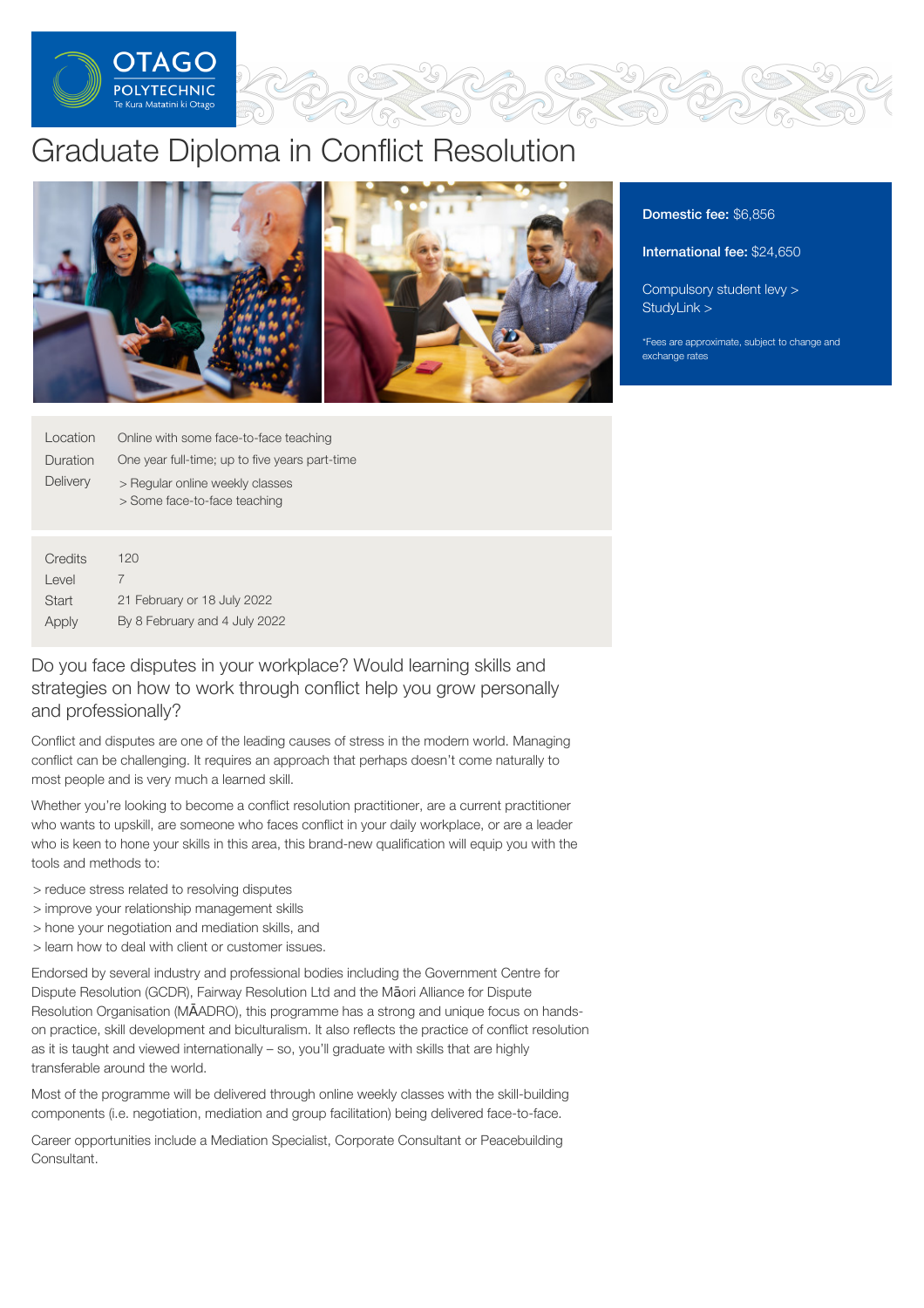

# Graduate Diploma in Conflict Resolution



Domestic fee: \$6,856

International fee: \$24,650

[Compulsory](https://online.op.ac.nz/students/important-information/student-services-levy/) student levy > [StudyLink](https://www.studylink.govt.nz/) >

\*Fees are approximate, subject to change and exchange rates

| Location | Online with some face-to-face teaching                          |
|----------|-----------------------------------------------------------------|
| Duration | One year full-time; up to five years part-time                  |
| Delivery | > Regular online weekly classes<br>> Some face-to-face teaching |

| Credits | 120                           |
|---------|-------------------------------|
| Level   |                               |
| Start   | 21 February or 18 July 2022   |
| Apply   | By 8 February and 4 July 2022 |

Do you face disputes in your workplace? Would learning skills and strategies on how to work through conflict help you grow personally and professionally?

Conflict and disputes are one of the leading causes of stress in the modern world. Managing conflict can be challenging. It requires an approach that perhaps doesn't come naturally to most people and is very much a learned skill.

Whether you're looking to become a conflict resolution practitioner, are a current practitioner who wants to upskill, are someone who faces conflict in your daily workplace, or are a leader who is keen to hone your skills in this area, this brand-new qualification will equip you with the tools and methods to:

> reduce stress related to resolving disputes

- > improve your relationship management skills
- > hone your negotiation and mediation skills, and
- > learn how to deal with client or customer issues.

Endorsed by several industry and professional bodies including the Government Centre for Dispute Resolution (GCDR), Fairway Resolution Ltd and the Māori Alliance for Dispute Resolution Organisation (MĀADRO), this programme has a strong and unique focus on handson practice, skill development and biculturalism. It also reflects the practice of conflict resolution as it is taught and viewed internationally – so, you'll graduate with skills that are highly transferable around the world.

Most of the programme will be delivered through online weekly classes with the skill-building components (i.e. negotiation, mediation and group facilitation) being delivered face-to-face.

Career opportunities include a Mediation Specialist, Corporate Consultant or Peacebuilding Consultant.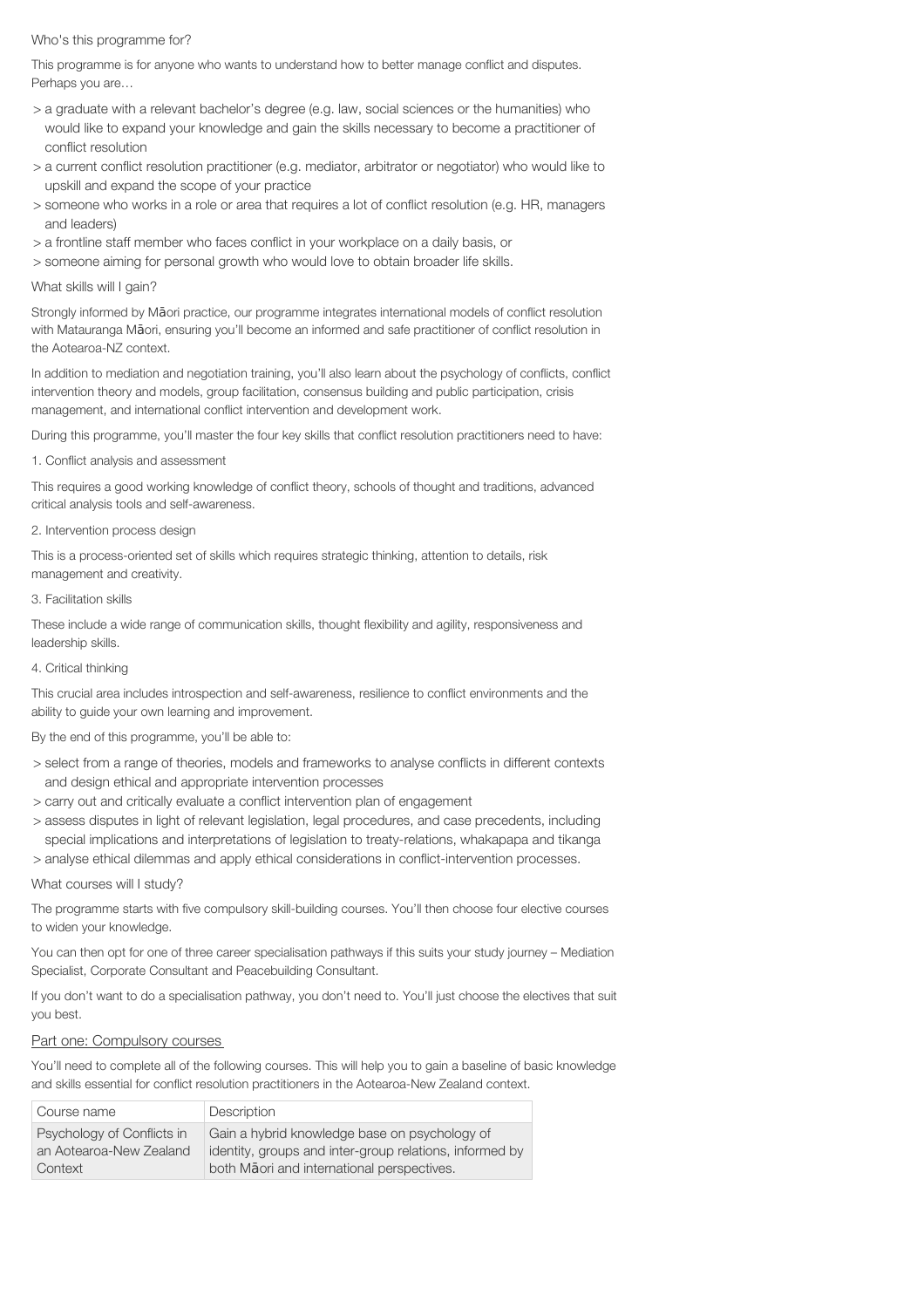## Who's this programme for?

This programme is for anyone who wants to understand how to better manage conflict and disputes. Perhaps you are…

- > a graduate with a relevant bachelor's degree (e.g. law, social sciences or the humanities) who would like to expand your knowledge and gain the skills necessary to become a practitioner of conflict resolution
- > a current conflict resolution practitioner (e.g. mediator, arbitrator or negotiator) who would like to upskill and expand the scope of your practice
- > someone who works in a role or area that requires a lot of conflict resolution (e.g. HR, managers and leaders)
- > a frontline staff member who faces conflict in your workplace on a daily basis, or
- > someone aiming for personal growth who would love to obtain broader life skills.

## What skills will I gain?

Strongly informed by Māori practice, our programme integrates international models of conflict resolution with Matauranga Māori, ensuring you'll become an informed and safe practitioner of conflict resolution in the Aotearoa-NZ context.

In addition to mediation and negotiation training, you'll also learn about the psychology of conflicts, conflict intervention theory and models, group facilitation, consensus building and public participation, crisis management, and international conflict intervention and development work.

During this programme, you'll master the four key skills that conflict resolution practitioners need to have:

## 1. Conflict analysis and assessment

This requires a good working knowledge of conflict theory, schools of thought and traditions, advanced critical analysis tools and self-awareness.

## 2. Intervention process design

This is a process-oriented set of skills which requires strategic thinking, attention to details, risk management and creativity.

## 3. Facilitation skills

These include a wide range of communication skills, thought flexibility and agility, responsiveness and leadership skills.

## 4. Critical thinking

This crucial area includes introspection and self-awareness, resilience to conflict environments and the ability to guide your own learning and improvement.

By the end of this programme, you'll be able to:

- > select from a range of theories, models and frameworks to analyse conflicts in different contexts and design ethical and appropriate intervention processes
- > carry out and critically evaluate a conflict intervention plan of engagement
- > assess disputes in light of relevant legislation, legal procedures, and case precedents, including special implications and interpretations of legislation to treaty-relations, whakapapa and tikanga
- > analyse ethical dilemmas and apply ethical considerations in conflict-intervention processes.

## What courses will I study?

The programme starts with five compulsory skill-building courses. You'll then choose four elective courses to widen your knowledge.

You can then opt for one of three career specialisation pathways if this suits your study journey – Mediation Specialist, Corporate Consultant and Peacebuilding Consultant.

If you don't want to do a specialisation pathway, you don't need to. You'll just choose the electives that suit you best.

## Part one: Compulsory courses

You'll need to complete all of the following courses. This will help you to gain a baseline of basic knowledge and skills essential for conflict resolution practitioners in the Aotearoa-New Zealand context.

| Course name                | Description                                             |
|----------------------------|---------------------------------------------------------|
| Psychology of Conflicts in | Gain a hybrid knowledge base on psychology of           |
| an Aotearoa-New Zealand    | identity, groups and inter-group relations, informed by |
| Context                    | both Maori and international perspectives.              |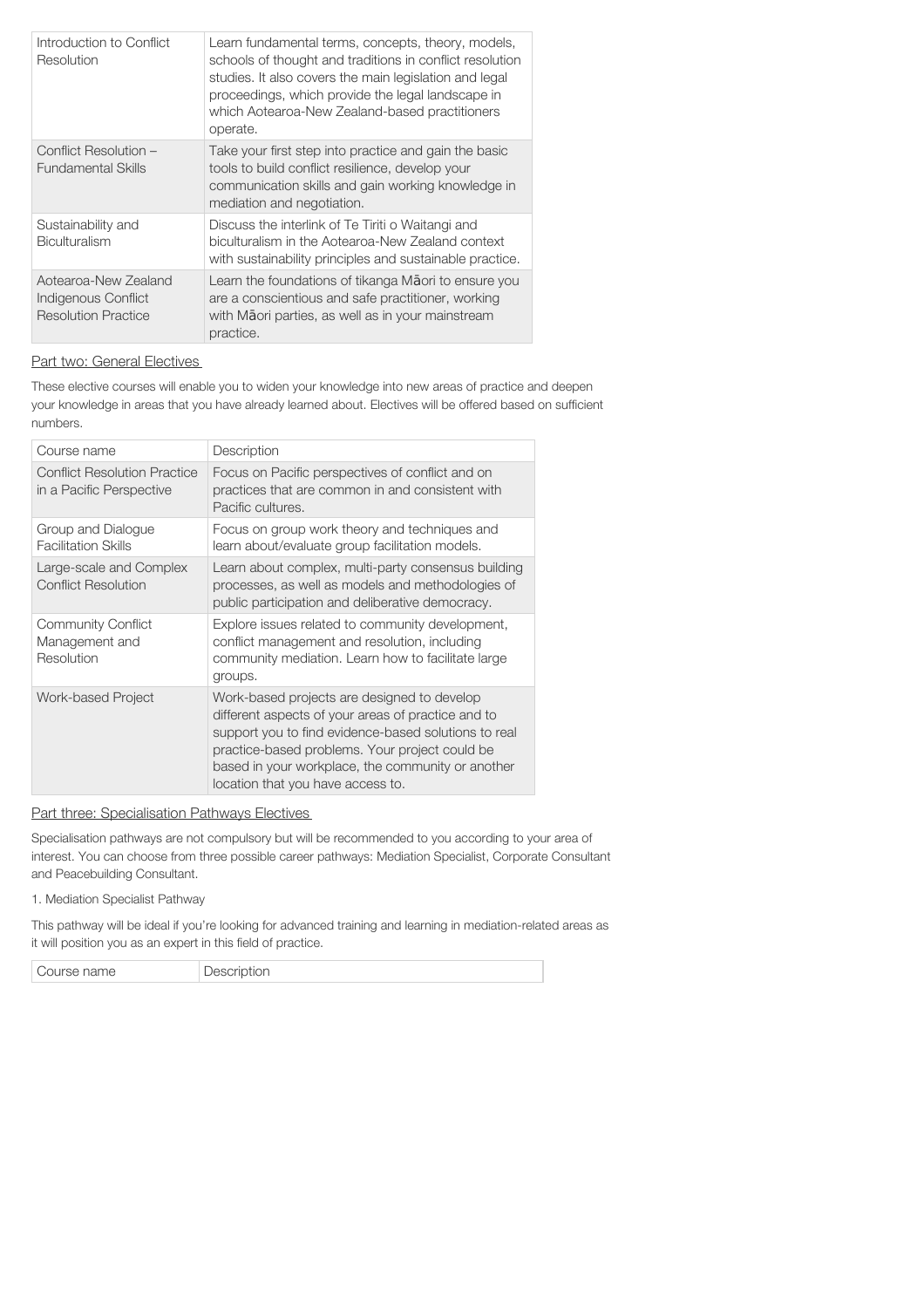| Introduction to Conflict<br>Resolution                                    | Learn fundamental terms, concepts, theory, models,<br>schools of thought and traditions in conflict resolution<br>studies. It also covers the main legislation and legal<br>proceedings, which provide the legal landscape in<br>which Aotearoa-New Zealand-based practitioners<br>operate. |
|---------------------------------------------------------------------------|---------------------------------------------------------------------------------------------------------------------------------------------------------------------------------------------------------------------------------------------------------------------------------------------|
| Conflict Resolution -<br><b>Fundamental Skills</b>                        | Take your first step into practice and gain the basic<br>tools to build conflict resilience, develop your<br>communication skills and gain working knowledge in<br>mediation and negotiation.                                                                                               |
| Sustainability and<br>Biculturalism                                       | Discuss the interlink of Te Tiriti o Waitangi and<br>biculturalism in the Aotearoa-New Zealand context<br>with sustainability principles and sustainable practice.                                                                                                                          |
| Aotearoa-New Zealand<br>Indigenous Conflict<br><b>Resolution Practice</b> | Learn the foundations of tikanga Maori to ensure you<br>are a conscientious and safe practitioner, working<br>with Māori parties, as well as in your mainstream<br>practice.                                                                                                                |

## Part two: General Electives

These elective courses will enable you to widen your knowledge into new areas of practice and deepen your knowledge in areas that you have already learned about. Electives will be offered based on sufficient numbers.

| Course name                                                     | Description                                                                                                                                                                                                                                                                                           |
|-----------------------------------------------------------------|-------------------------------------------------------------------------------------------------------------------------------------------------------------------------------------------------------------------------------------------------------------------------------------------------------|
| <b>Conflict Resolution Practice</b><br>in a Pacific Perspective | Focus on Pacific perspectives of conflict and on<br>practices that are common in and consistent with<br>Pacific cultures.                                                                                                                                                                             |
| Group and Dialogue<br><b>Facilitation Skills</b>                | Focus on group work theory and techniques and<br>learn about/evaluate group facilitation models.                                                                                                                                                                                                      |
| Large-scale and Complex<br><b>Conflict Resolution</b>           | Learn about complex, multi-party consensus building<br>processes, as well as models and methodologies of<br>public participation and deliberative democracy.                                                                                                                                          |
| <b>Community Conflict</b><br>Management and<br>Resolution       | Explore issues related to community development,<br>conflict management and resolution, including<br>community mediation. Learn how to facilitate large<br>groups.                                                                                                                                    |
| Work-based Project                                              | Work-based projects are designed to develop<br>different aspects of your areas of practice and to<br>support you to find evidence-based solutions to real<br>practice-based problems. Your project could be<br>based in your workplace, the community or another<br>location that you have access to. |

## Part three: Specialisation Pathways Electives

Specialisation pathways are not compulsory but will be recommended to you according to your area of interest. You can choose from three possible career pathways: Mediation Specialist, Corporate Consultant and Peacebuilding Consultant.

1. Mediation Specialist Pathway

This pathway will be ideal if you're looking for advanced training and learning in mediation-related areas as it will position you as an expert in this field of practice.

| ' Course name | лкя<br><b>POPPIPIOII</b> |
|---------------|--------------------------|
|---------------|--------------------------|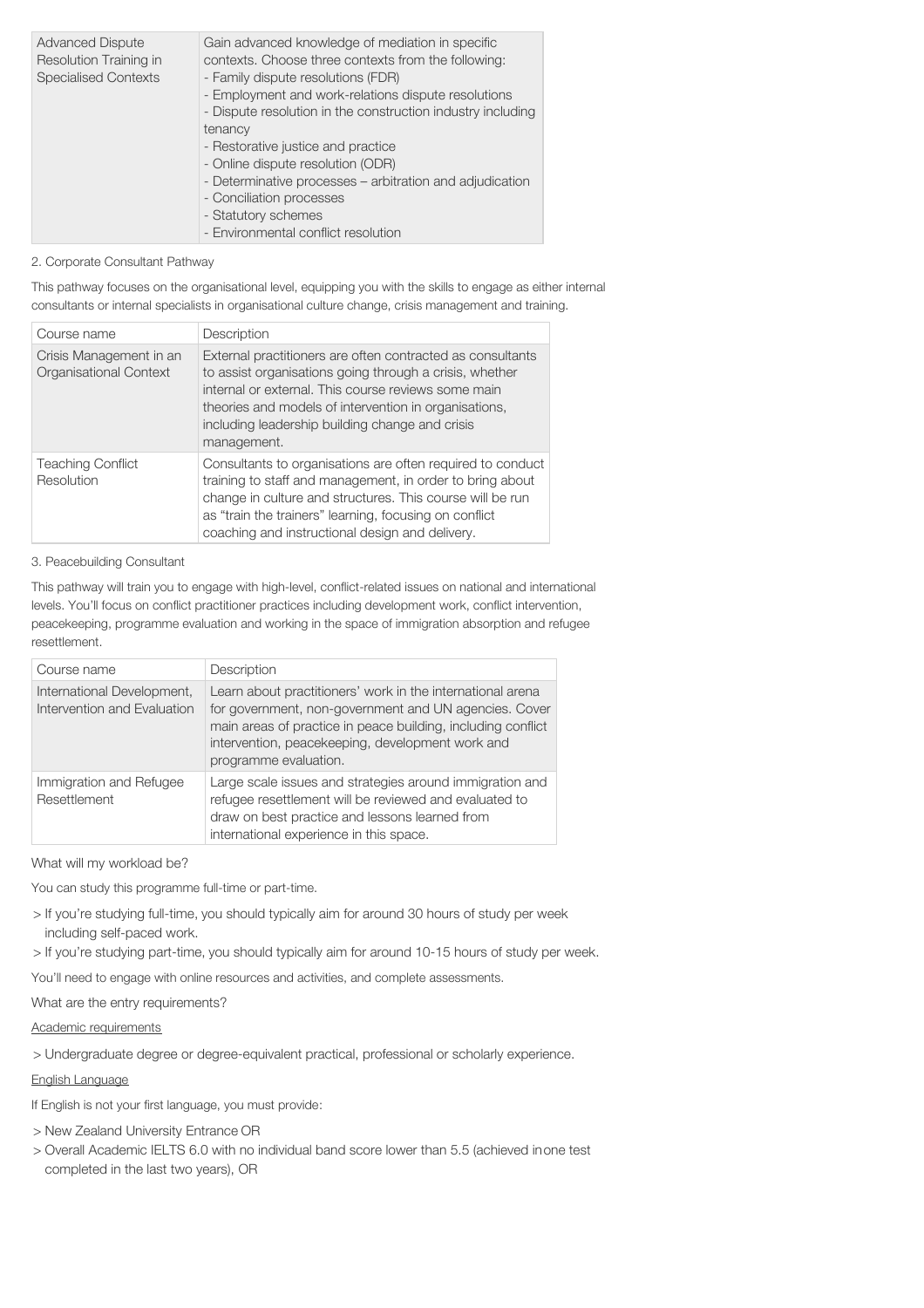| <b>Advanced Dispute</b><br>Resolution Training in<br><b>Specialised Contexts</b> | Gain advanced knowledge of mediation in specific<br>contexts. Choose three contexts from the following:<br>- Family dispute resolutions (FDR)<br>- Employment and work-relations dispute resolutions<br>- Dispute resolution in the construction industry including<br>tenancy<br>- Restorative justice and practice<br>- Online dispute resolution (ODR)<br>- Determinative processes - arbitration and adjudication<br>- Conciliation processes<br>- Statutory schemes<br>- Environmental conflict resolution |
|----------------------------------------------------------------------------------|-----------------------------------------------------------------------------------------------------------------------------------------------------------------------------------------------------------------------------------------------------------------------------------------------------------------------------------------------------------------------------------------------------------------------------------------------------------------------------------------------------------------|
|----------------------------------------------------------------------------------|-----------------------------------------------------------------------------------------------------------------------------------------------------------------------------------------------------------------------------------------------------------------------------------------------------------------------------------------------------------------------------------------------------------------------------------------------------------------------------------------------------------------|

## 2. Corporate Consultant Pathway

This pathway focuses on the organisational level, equipping you with the skills to engage as either internal consultants or internal specialists in organisational culture change, crisis management and training.

| Course name                                       | Description                                                                                                                                                                                                                                                                                             |
|---------------------------------------------------|---------------------------------------------------------------------------------------------------------------------------------------------------------------------------------------------------------------------------------------------------------------------------------------------------------|
| Crisis Management in an<br>Organisational Context | External practitioners are often contracted as consultants<br>to assist organisations going through a crisis, whether<br>internal or external. This course reviews some main<br>theories and models of intervention in organisations,<br>including leadership building change and crisis<br>management. |
| <b>Teaching Conflict</b><br>Resolution            | Consultants to organisations are often required to conduct<br>training to staff and management, in order to bring about<br>change in culture and structures. This course will be run<br>as "train the trainers" learning, focusing on conflict<br>coaching and instructional design and delivery.       |

## 3. Peacebuilding Consultant

This pathway will train you to engage with high-level, conflict-related issues on national and international levels. You'll focus on conflict practitioner practices including development work, conflict intervention, peacekeeping, programme evaluation and working in the space of immigration absorption and refugee resettlement.

| Course name                                               | Description                                                                                                                                                                                                                                                      |
|-----------------------------------------------------------|------------------------------------------------------------------------------------------------------------------------------------------------------------------------------------------------------------------------------------------------------------------|
| International Development,<br>Intervention and Evaluation | Learn about practitioners' work in the international arena<br>for government, non-government and UN agencies. Cover<br>main areas of practice in peace building, including conflict<br>intervention, peacekeeping, development work and<br>programme evaluation. |
| Immigration and Refugee<br>Resettlement                   | Large scale issues and strategies around immigration and<br>refugee resettlement will be reviewed and evaluated to<br>draw on best practice and lessons learned from<br>international experience in this space.                                                  |

## What will my workload be?

You can study this programme full-time or part-time.

- > If you're studying full-time, you should typically aim for around 30 hours of study per week including self-paced work.
- > If you're studying part-time, you should typically aim for around 10-15 hours of study per week.

You'll need to engage with online resources and activities, and complete assessments.

What are the entry requirements?

Academic requirements

> Undergraduate degree or degree-equivalent practical, professional or scholarly experience.

## English Language

If English is not your first language, you must provide:

- > New Zealand University Entrance OR
- > Overall Academic IELTS 6.0 with no individual band score lower than 5.5 (achieved inone test completed in the last two years), OR